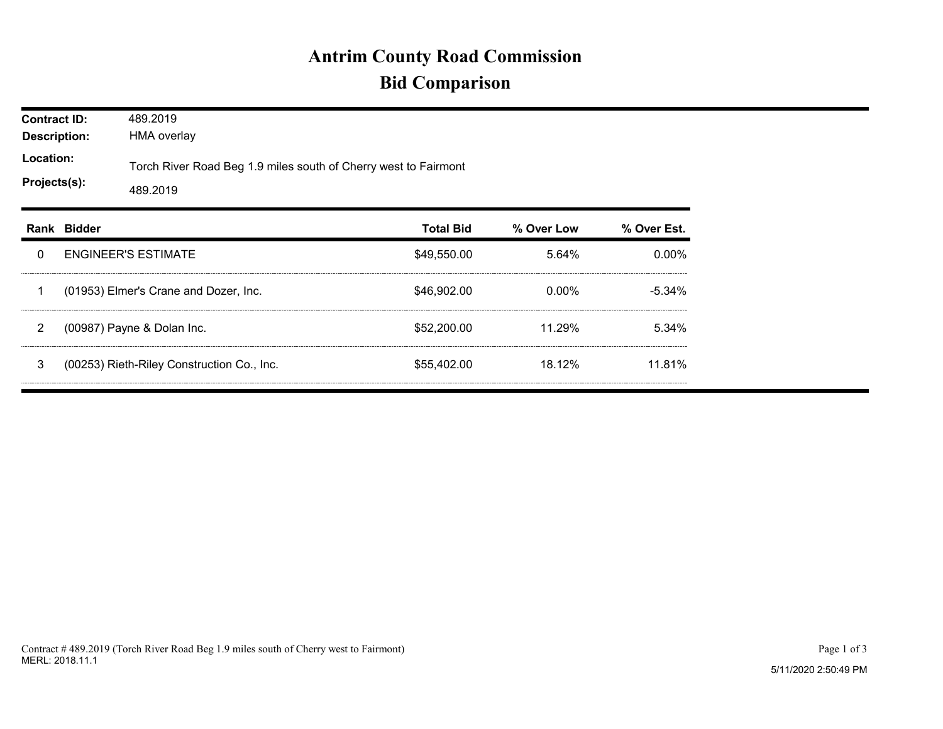## **Antrim County Road Commission Bid Comparison**

| <b>Contract ID:</b><br><b>Description:</b><br>Location:<br>Projects(s): |             | 489.2019<br><b>HMA overlay</b>                                              |                  |            |             |  |  |  |
|-------------------------------------------------------------------------|-------------|-----------------------------------------------------------------------------|------------------|------------|-------------|--|--|--|
|                                                                         |             | Torch River Road Beg 1.9 miles south of Cherry west to Fairmont<br>489.2019 |                  |            |             |  |  |  |
|                                                                         | Rank Bidder |                                                                             | <b>Total Bid</b> | % Over Low | % Over Est. |  |  |  |
| 0                                                                       |             | <b>ENGINEER'S ESTIMATE</b>                                                  | \$49,550.00      | 5.64%      | $0.00\%$    |  |  |  |
| 1                                                                       |             | (01953) Elmer's Crane and Dozer, Inc.                                       | \$46,902.00      | $0.00\%$   | $-5.34\%$   |  |  |  |
| $\overline{2}$                                                          |             | (00987) Payne & Dolan Inc.                                                  | \$52,200.00      | 11.29%     | 5.34%       |  |  |  |
| 3                                                                       |             | (00253) Rieth-Riley Construction Co., Inc.                                  | \$55,402.00      | 18.12%     | 11.81%      |  |  |  |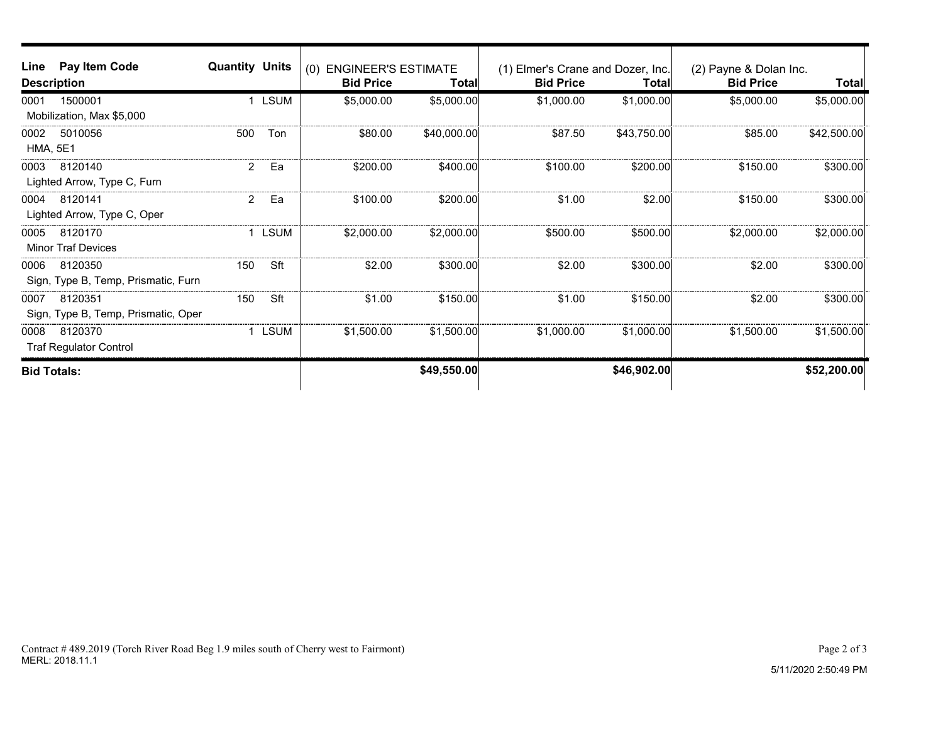| Line                      | Pay Item Code                       | <b>Quantity Units</b> |                  | (0) ENGINEER'S ESTIMATE |                  | (1) Elmer's Crane and Dozer, Inc. |                  | (2) Payne & Dolan Inc. |             |
|---------------------------|-------------------------------------|-----------------------|------------------|-------------------------|------------------|-----------------------------------|------------------|------------------------|-------------|
| <b>Description</b>        |                                     |                       | <b>Bid Price</b> | Total∣                  | <b>Bid Price</b> | <b>Total</b>                      | <b>Bid Price</b> | Total                  |             |
| 0001                      | 1500001                             |                       | 1 LSUM           | \$5,000.00              | \$5,000.00       | \$1,000.00                        | \$1,000.00       | \$5,000.00             | \$5,000.00  |
| Mobilization, Max \$5,000 |                                     |                       |                  |                         |                  |                                   |                  |                        |             |
| 0002                      | 5010056                             | 500                   | Ton              | \$80.00                 | \$40,000.00      | \$87.50                           | \$43,750.00      | \$85.00                | \$42,500.00 |
| <b>HMA, 5E1</b>           |                                     |                       |                  |                         |                  |                                   |                  |                        |             |
| 0003                      | 8120140                             | $\overline{2}$        | Ea               | \$200.00                | \$400.00         | \$100.00                          | \$200.00         | \$150.00               | \$300.00    |
|                           | Lighted Arrow, Type C, Furn         |                       |                  |                         |                  |                                   |                  |                        |             |
| 0004                      | 8120141                             | $\overline{2}$        | Ea               | \$100.00                | \$200.00         | \$1.00                            | \$2.00           | \$150.00               | \$300.00    |
|                           | Lighted Arrow, Type C, Oper         |                       |                  |                         |                  |                                   |                  |                        |             |
| 0005                      | 8120170                             |                       | <b>LSUM</b>      | \$2,000.00              | \$2,000.00       | \$500.00                          | \$500.00         | \$2,000.00             | \$2,000.00] |
|                           | <b>Minor Traf Devices</b>           |                       |                  |                         |                  |                                   |                  |                        |             |
| 0006                      | 8120350                             | 150                   | Sft              | \$2.00                  | \$300.00         | \$2.00                            | \$300.00         | \$2.00                 | \$300.00    |
|                           | Sign, Type B, Temp, Prismatic, Furn |                       |                  |                         |                  |                                   |                  |                        |             |
| 0007                      | 8120351                             | 150                   | Sft              | \$1.00                  | \$150.00         | \$1.00                            | \$150.00         | \$2.00                 | \$300.00    |
|                           | Sign, Type B, Temp, Prismatic, Oper |                       |                  |                         |                  |                                   |                  |                        |             |
| 0008                      | 8120370                             |                       | <b>LSUM</b>      | \$1,500.00              | \$1,500.00       | \$1,000.00                        | \$1,000.00]      | \$1,500.00             | \$1,500.00  |
|                           | <b>Traf Regulator Control</b>       |                       |                  |                         |                  |                                   |                  |                        |             |
| <b>Bid Totals:</b>        |                                     |                       |                  |                         | \$49,550.00      |                                   | \$46,902.00      |                        | \$52,200.00 |